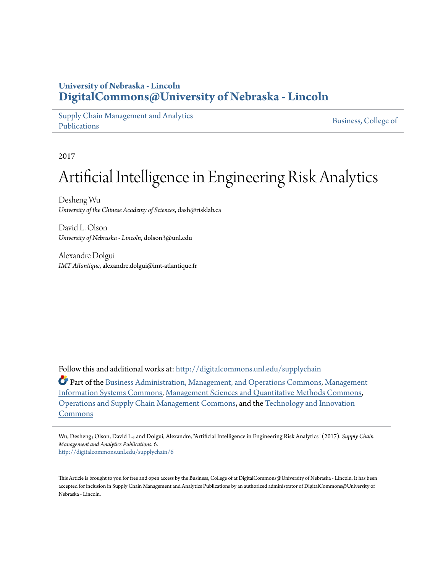# **University of Nebraska - Lincoln [DigitalCommons@University of Nebraska - Lincoln](http://digitalcommons.unl.edu?utm_source=digitalcommons.unl.edu%2Fsupplychain%2F6&utm_medium=PDF&utm_campaign=PDFCoverPages)**

[Supply Chain Management and Analytics](http://digitalcommons.unl.edu/supplychain?utm_source=digitalcommons.unl.edu%2Fsupplychain%2F6&utm_medium=PDF&utm_campaign=PDFCoverPages) [Publications](http://digitalcommons.unl.edu/supplychain?utm_source=digitalcommons.unl.edu%2Fsupplychain%2F6&utm_medium=PDF&utm_campaign=PDFCoverPages)

[Business, College of](http://digitalcommons.unl.edu/business?utm_source=digitalcommons.unl.edu%2Fsupplychain%2F6&utm_medium=PDF&utm_campaign=PDFCoverPages)

2017

# Artificial Intelligence in Engineering Risk Analytics

Desheng Wu *University of the Chinese Academy of Sciences*, dash@risklab.ca

David L. Olson *University of Nebraska - Lincoln*, dolson3@unl.edu

Alexandre Dolgui *IMT Atlantique*, alexandre.dolgui@imt-atlantique.fr

Follow this and additional works at: [http://digitalcommons.unl.edu/supplychain](http://digitalcommons.unl.edu/supplychain?utm_source=digitalcommons.unl.edu%2Fsupplychain%2F6&utm_medium=PDF&utm_campaign=PDFCoverPages)

Part of the [Business Administration, Management, and Operations Commons](http://network.bepress.com/hgg/discipline/623?utm_source=digitalcommons.unl.edu%2Fsupplychain%2F6&utm_medium=PDF&utm_campaign=PDFCoverPages), [Management](http://network.bepress.com/hgg/discipline/636?utm_source=digitalcommons.unl.edu%2Fsupplychain%2F6&utm_medium=PDF&utm_campaign=PDFCoverPages) [Information Systems Commons](http://network.bepress.com/hgg/discipline/636?utm_source=digitalcommons.unl.edu%2Fsupplychain%2F6&utm_medium=PDF&utm_campaign=PDFCoverPages), [Management Sciences and Quantitative Methods Commons,](http://network.bepress.com/hgg/discipline/637?utm_source=digitalcommons.unl.edu%2Fsupplychain%2F6&utm_medium=PDF&utm_campaign=PDFCoverPages) [Operations and Supply Chain Management Commons,](http://network.bepress.com/hgg/discipline/1229?utm_source=digitalcommons.unl.edu%2Fsupplychain%2F6&utm_medium=PDF&utm_campaign=PDFCoverPages) and the [Technology and Innovation](http://network.bepress.com/hgg/discipline/644?utm_source=digitalcommons.unl.edu%2Fsupplychain%2F6&utm_medium=PDF&utm_campaign=PDFCoverPages) [Commons](http://network.bepress.com/hgg/discipline/644?utm_source=digitalcommons.unl.edu%2Fsupplychain%2F6&utm_medium=PDF&utm_campaign=PDFCoverPages)

Wu, Desheng; Olson, David L.; and Dolgui, Alexandre, "Artificial Intelligence in Engineering Risk Analytics" (2017). *Supply Chain Management and Analytics Publications*. 6. [http://digitalcommons.unl.edu/supplychain/6](http://digitalcommons.unl.edu/supplychain/6?utm_source=digitalcommons.unl.edu%2Fsupplychain%2F6&utm_medium=PDF&utm_campaign=PDFCoverPages)

This Article is brought to you for free and open access by the Business, College of at DigitalCommons@University of Nebraska - Lincoln. It has been accepted for inclusion in Supply Chain Management and Analytics Publications by an authorized administrator of DigitalCommons@University of Nebraska - Lincoln.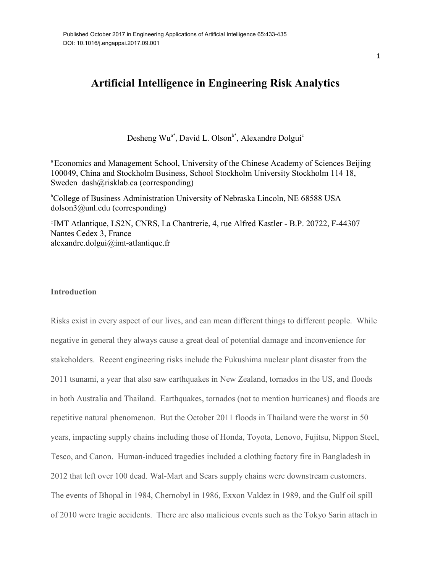# Artificial Intelligence in Engineering Risk Analytics

Desheng Wu<sup>a\*</sup>, David L. Olson<sup>b\*</sup>, Alexandre Dolgui<sup>c</sup>

<sup>a</sup> Econom[ics and Management S](mailto:dash@risklab.ca)chool, University of the Chinese Academy of Sciences Beijing 100049, China and Stockholm Business, School Stockholm University Stockholm 114 18, [Sweden dash@risklab.](mailto:dolson3@unl.edu)ca (corresponding)

<sup>b</sup>College of Business Administration University of Nebraska Lincoln, NE 68588 USA dolson3@unl.edu (corresponding)

c IMT Atlantique, LS2N, CNRS, La Chantrerie, 4, rue Alfred Kastler - B.P. 20722, F-44307 Nantes Cedex 3, France alexandre.dolgui@imt-atlantique.fr

## **Introduction**

Risks exist in every aspect of our lives, and can mean different things to different people. While negative in general they always cause a great deal of potential damage and inconvenience for stakeholders. Recent engineering risks include the Fukushima nuclear plant disaster from the 2011 tsunami, a year that also saw earthquakes in New Zealand, tornados in the US, and floods in both Australia and Thailand. Earthquakes, tornados (not to mention hurricanes) and floods are repetitive natural phenomenon. But the October 2011 floods in Thailand were the worst in 50 years, impacting supply chains including those of Honda, Toyota, Lenovo, Fujitsu, Nippon Steel, Tesco, and Canon. Human-induced tragedies included a clothing factory fire in Bangladesh in 2012 that left over 100 dead. Wal-Mart and Sears supply chains were downstream customers. The events of Bhopal in 1984, Chernobyl in 1986, Exxon Valdez in 1989, and the Gulf oil spill of 2010 were tragic accidents. There are also malicious events such as the Tokyo Sarin attach in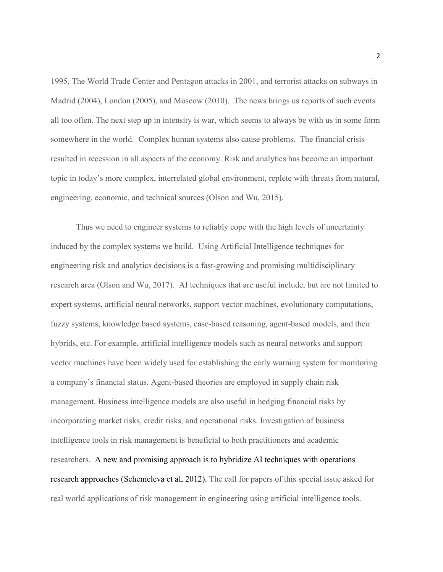1995, The World Trade Center and Pentagon attacks in 2001, and terrorist attacks on subways in Madrid (2004), London (2005), and Moscow (2010). The news brings us reports of such events all too often. The next step up in intensity is war, which seems to always be with us in some form somewhere in the world. Complex human systems also cause problems. The financial crisis resulted in recession in all aspects of the economy. Risk and analytics has become an important topic in today's more complex, interrelated global environment, replete with threats from natural, engineering, economic, and technical sources (Olson and Wu, 2015).

Thus we need to engineer systems to reliably cope with the high levels of uncertainty induced by the complex systems we build. Using Artificial Intelligence techniques for engineering risk and analytics decisions is a fast-growing and promising multidisciplinary research area (Olson and Wu, 2017). AI techniques that are useful include, but are not limited to expert systems, artificial neural networks, support vector machines, evolutionary computations, fuzzy systems, knowledge based systems, case-based reasoning, agent-based models, and their hybrids, etc. For example, artificial intelligence models such as neural networks and support vector machines have been widely used for establishing the early warning system for monitoring a company's financial status. Agent-based theories are employed in supply chain risk management. Business intelligence models are also useful in hedging financial risks by incorporating market risks, credit risks, and operational risks. Investigation of business intelligence tools in risk management is beneficial to both practitioners and academic researchers. A new and promising approach is to hybridize AI techniques with operations research approaches (Schemeleva et al, 2012). The call for papers of this special issue asked for real world applications of risk management in engineering using artificial intelligence tools.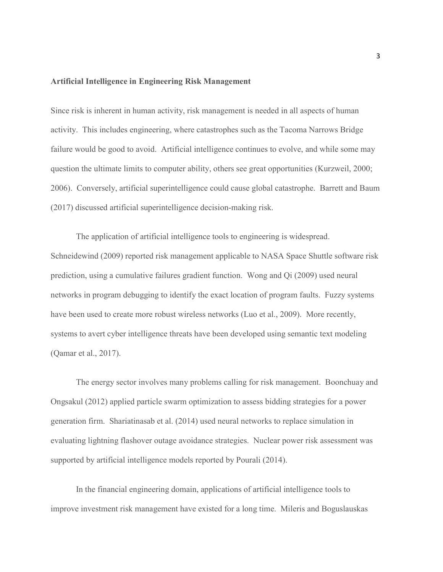#### Artificial Intelligence in Engineering Risk Management

Since risk is inherent in human activity, risk management is needed in all aspects of human activity. This includes engineering, where catastrophes such as the Tacoma Narrows Bridge failure would be good to avoid. Artificial intelligence continues to evolve, and while some may question the ultimate limits to computer ability, others see great opportunities (Kurzweil, 2000; 2006). Conversely, artificial superintelligence could cause global catastrophe. Barrett and Baum (2017) discussed artificial superintelligence decision-making risk.

The application of artificial intelligence tools to engineering is widespread. Schneidewind (2009) reported risk management applicable to NASA Space Shuttle software risk prediction, using a cumulative failures gradient function. Wong and Qi (2009) used neural networks in program debugging to identify the exact location of program faults. Fuzzy systems have been used to create more robust wireless networks (Luo et al., 2009). More recently, systems to avert cyber intelligence threats have been developed using semantic text modeling (Qamar et al., 2017).

The energy sector involves many problems calling for risk management. Boonchuay and Ongsakul (2012) applied particle swarm optimization to assess bidding strategies for a power generation firm. Shariatinasab et al. (2014) used neural networks to replace simulation in evaluating lightning flashover outage avoidance strategies. Nuclear power risk assessment was supported by artificial intelligence models reported by Pourali (2014).

In the financial engineering domain, applications of artificial intelligence tools to improve investment risk management have existed for a long time. Mileris and Boguslauskas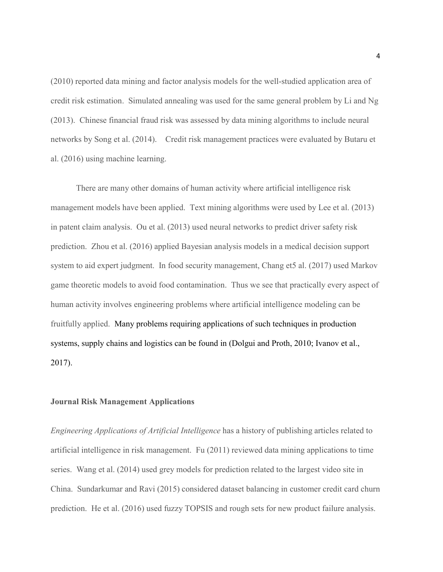(2010) reported data mining and factor analysis models for the well-studied application area of credit risk estimation. Simulated annealing was used for the same general problem by Li and Ng (2013). Chinese financial fraud risk was assessed by data mining algorithms to include neural networks by Song et al. (2014). Credit risk management practices were evaluated by Butaru et al. (2016) using machine learning.

There are many other domains of human activity where artificial intelligence risk management models have been applied. Text mining algorithms were used by Lee et al. (2013) in patent claim analysis. Ou et al. (2013) used neural networks to predict driver safety risk prediction. Zhou et al. (2016) applied Bayesian analysis models in a medical decision support system to aid expert judgment. In food security management, Chang et5 al. (2017) used Markov game theoretic models to avoid food contamination. Thus we see that practically every aspect of human activity involves engineering problems where artificial intelligence modeling can be fruitfully applied. Many problems requiring applications of such techniques in production systems, supply chains and logistics can be found in (Dolgui and Proth, 2010; Ivanov et al., 2017).

# Journal Risk Management Applications

*Engineering Applications of Artificial Intelligence* has a history of publishing articles related to artificial intelligence in risk management. Fu (2011) reviewed data mining applications to time series. Wang et al. (2014) used grey models for prediction related to the largest video site in China. Sundarkumar and Ravi (2015) considered dataset balancing in customer credit card churn prediction. He et al. (2016) used fuzzy TOPSIS and rough sets for new product failure analysis.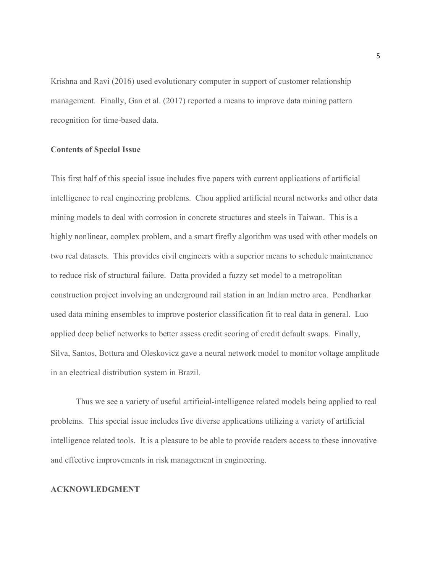Krishna and Ravi (2016) used evolutionary computer in support of customer relationship management. Finally, Gan et al. (2017) reported a means to improve data mining pattern recognition for time-based data.

# Contents of Special Issue

This first half of this special issue includes five papers with current applications of artificial intelligence to real engineering problems. Chou applied artificial neural networks and other data mining models to deal with corrosion in concrete structures and steels in Taiwan. This is a highly nonlinear, complex problem, and a smart firefly algorithm was used with other models on two real datasets. This provides civil engineers with a superior means to schedule maintenance to reduce risk of structural failure. Datta provided a fuzzy set model to a metropolitan construction project involving an underground rail station in an Indian metro area. Pendharkar used data mining ensembles to improve posterior classification fit to real data in general. Luo applied deep belief networks to better assess credit scoring of credit default swaps. Finally, Silva, Santos, Bottura and Oleskovicz gave a neural network model to monitor voltage amplitude in an electrical distribution system in Brazil.

Thus we see a variety of useful artificial-intelligence related models being applied to real problems. This special issue includes five diverse applications utilizing a variety of artificial intelligence related tools. It is a pleasure to be able to provide readers access to these innovative and effective improvements in risk management in engineering.

# ACKNOWLEDGMENT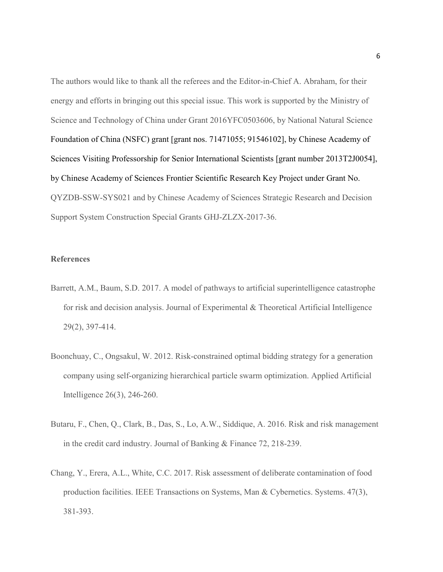The authors would like to thank all the referees and the Editor-in-Chief A. Abraham, for their energy and efforts in bringing out this special issue. This work is supported by the Ministry of Science and Technology of China under Grant 2016YFC0503606, by National Natural Science Foundation of China (NSFC) grant [grant nos. 71471055; 91546102], by Chinese Academy of Sciences Visiting Professorship for Senior International Scientists [grant number 2013T2J0054], by Chinese Academy of Sciences Frontier Scientific Research Key Project under Grant No. QYZDB-SSW-SYS021 and by Chinese Academy of Sciences Strategic Research and Decision Support System Construction Special Grants GHJ-ZLZX-2017-36.

## **References**

- Barrett, A.M., Baum, S.D. 2017. A model of pathways to artificial superintelligence catastrophe for risk and decision analysis. Journal of Experimental & Theoretical Artificial Intelligence 29(2), 397-414.
- Boonchuay, C., Ongsakul, W. 2012. Risk-constrained optimal bidding strategy for a generation company using self-organizing hierarchical particle swarm optimization. Applied Artificial Intelligence 26(3), 246-260.
- Butaru, F., Chen, Q., Clark, B., Das, S., Lo, A.W., Siddique, A. 2016. Risk and risk management in the credit card industry. Journal of Banking & Finance 72, 218-239.
- Chang, Y., Erera, A.L., White, C.C. 2017. Risk assessment of deliberate contamination of food production facilities. IEEE Transactions on Systems, Man & Cybernetics. Systems. 47(3), 381-393.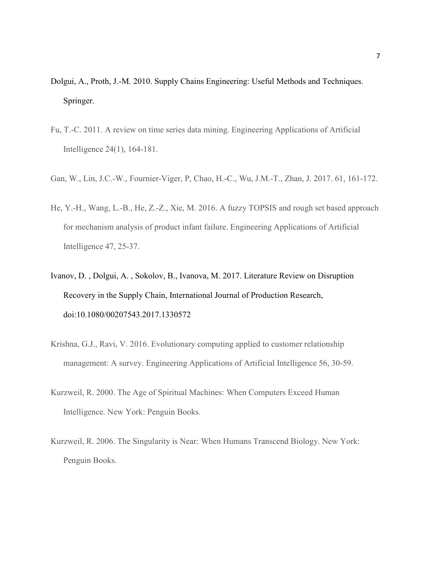- Dolgui, A., Proth, J.-M. 2010. Supply Chains Engineering: Useful Methods and Techniques. Springer.
- Fu, T.-C. 2011. A review on time series data mining. Engineering Applications of Artificial Intelligence 24(1), 164-181.
- Gan, W., Lin, J.C.-W., Fournier-Viger, P, Chao, H.-C., Wu, J.M.-T., Zhan, J. 2017. 61, 161-172.
- He, Y.-H., Wang, L.-B., He, Z.-Z., Xie, M. 2016. A fuzzy TOPSIS and rough set based approach for mechanism analysis of product infant failure. Engineering Applications of Artificial Intelligence 47, 25-37.
- Ivanov, D. , Dolgui, A. , Sokolov, B., Ivanova, M. 2017. Literature Review on Disruption Recovery in the Supply Chain, International Journal of Production Research, doi:10.1080/00207543.2017.1330572
- Krishna, G.J., Ravi, V. 2016. Evolutionary computing applied to customer relationship management: A survey. Engineering Applications of Artificial Intelligence 56, 30-59.
- Kurzweil, R. 2000. The Age of Spiritual Machines: When Computers Exceed Human Intelligence. New York: Penguin Books.
- Kurzweil, R. 2006. The Singularity is Near: When Humans Transcend Biology. New York: Penguin Books.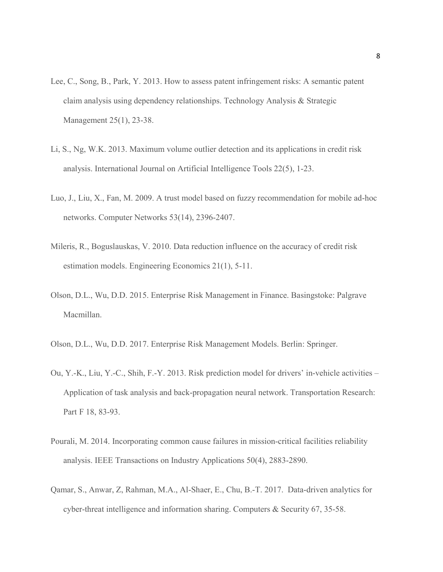- Lee, C., Song, B., Park, Y. 2013. How to assess patent infringement risks: A semantic patent claim analysis using dependency relationships. Technology Analysis & Strategic Management 25(1), 23-38.
- Li, S., Ng, W.K. 2013. Maximum volume outlier detection and its applications in credit risk analysis. International Journal on Artificial Intelligence Tools 22(5), 1-23.
- Luo, J., Liu, X., Fan, M. 2009. A trust model based on fuzzy recommendation for mobile ad-hoc networks. Computer Networks 53(14), 2396-2407.
- Mileris, R., Boguslauskas, V. 2010. Data reduction influence on the accuracy of credit risk estimation models. Engineering Economics 21(1), 5-11.
- Olson, D.L., Wu, D.D. 2015. Enterprise Risk Management in Finance. Basingstoke: Palgrave Macmillan.
- Olson, D.L., Wu, D.D. 2017. Enterprise Risk Management Models. Berlin: Springer.
- Ou, Y.-K., Liu, Y.-C., Shih, F.-Y. 2013. Risk prediction model for drivers' in-vehicle activities Application of task analysis and back-propagation neural network. Transportation Research: Part F 18, 83-93.
- Pourali, M. 2014. Incorporating common cause failures in mission-critical facilities reliability analysis. IEEE Transactions on Industry Applications 50(4), 2883-2890.
- Qamar, S., Anwar, Z, Rahman, M.A., Al-Shaer, E., Chu, B.-T. 2017. Data-driven analytics for cyber-threat intelligence and information sharing. Computers & Security 67, 35-58.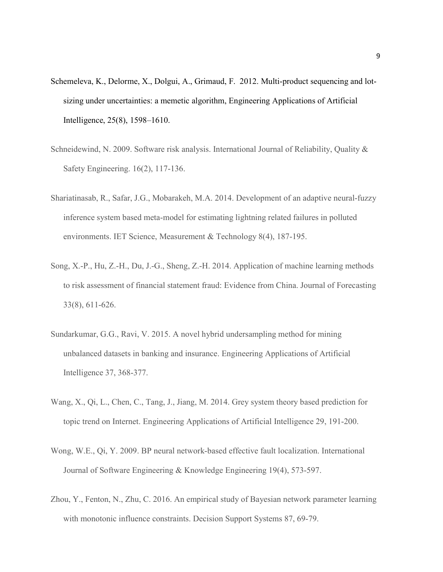- Schemeleva, K., Delorme, X., Dolgui, A., Grimaud, F. 2012. Multi-product sequencing and lotsizing under uncertainties: a memetic algorithm, Engineering Applications of Artificial Intelligence, 25(8), 1598–1610.
- Schneidewind, N. 2009. Software risk analysis. International Journal of Reliability, Quality & Safety Engineering. 16(2), 117-136.
- Shariatinasab, R., Safar, J.G., Mobarakeh, M.A. 2014. Development of an adaptive neural-fuzzy inference system based meta-model for estimating lightning related failures in polluted environments. IET Science, Measurement & Technology 8(4), 187-195.
- Song, X.-P., Hu, Z.-H., Du, J.-G., Sheng, Z.-H. 2014. Application of machine learning methods to risk assessment of financial statement fraud: Evidence from China. Journal of Forecasting 33(8), 611-626.
- Sundarkumar, G.G., Ravi, V. 2015. A novel hybrid undersampling method for mining unbalanced datasets in banking and insurance. Engineering Applications of Artificial Intelligence 37, 368-377.
- Wang, X., Qi, L., Chen, C., Tang, J., Jiang, M. 2014. Grey system theory based prediction for topic trend on Internet. Engineering Applications of Artificial Intelligence 29, 191-200.
- Wong, W.E., Qi, Y. 2009. BP neural network-based effective fault localization. International Journal of Software Engineering & Knowledge Engineering 19(4), 573-597.
- Zhou, Y., Fenton, N., Zhu, C. 2016. An empirical study of Bayesian network parameter learning with monotonic influence constraints. Decision Support Systems 87, 69-79.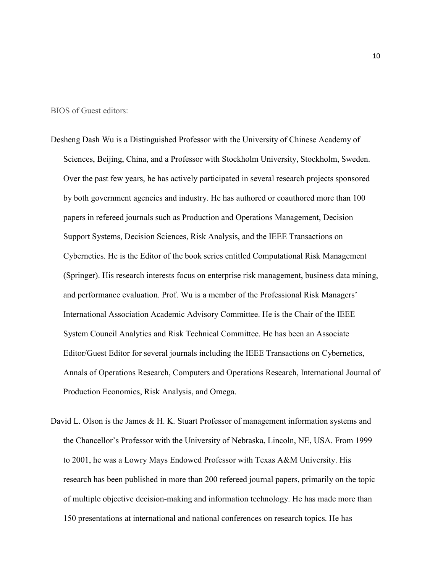BIOS of Guest editors:

- Desheng Dash Wu is a Distinguished Professor with the University of Chinese Academy of Sciences, Beijing, China, and a Professor with Stockholm University, Stockholm, Sweden. Over the past few years, he has actively participated in several research projects sponsored by both government agencies and industry. He has authored or coauthored more than 100 papers in refereed journals such as Production and Operations Management, Decision Support Systems, Decision Sciences, Risk Analysis, and the IEEE Transactions on Cybernetics. He is the Editor of the book series entitled Computational Risk Management (Springer). His research interests focus on enterprise risk management, business data mining, and performance evaluation. Prof. Wu is a member of the Professional Risk Managers' International Association Academic Advisory Committee. He is the Chair of the IEEE System Council Analytics and Risk Technical Committee. He has been an Associate Editor/Guest Editor for several journals including the IEEE Transactions on Cybernetics, Annals of Operations Research, Computers and Operations Research, International Journal of Production Economics, Risk Analysis, and Omega.
- David L. Olson is the James & H. K. Stuart Professor of management information systems and the Chancellor's Professor with the University of Nebraska, Lincoln, NE, USA. From 1999 to 2001, he was a Lowry Mays Endowed Professor with Texas A&M University. His research has been published in more than 200 refereed journal papers, primarily on the topic of multiple objective decision-making and information technology. He has made more than 150 presentations at international and national conferences on research topics. He has